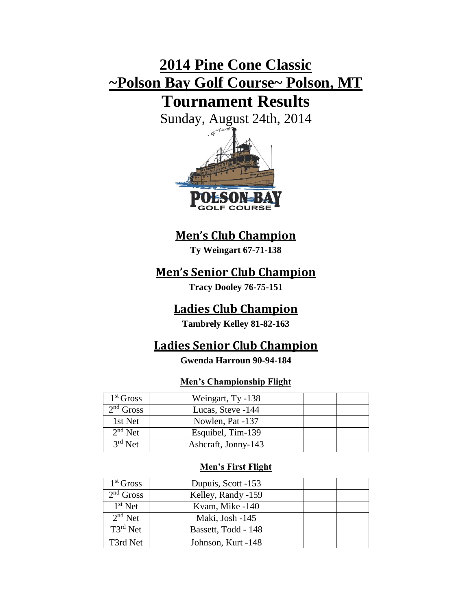# **2014 Pine Cone Classic ~Polson Bay Golf Course~ Polson, MT**

## **Tournament Results**

Sunday, August 24th, 2014



## **Men's Club Champion**

**Ty Weingart 67-71-138**

## **Men's Senior Club Champion**

**Tracy Dooley 76-75-151**

### **Ladies Club Champion**

**Tambrely Kelley 81-82-163**

## **Ladies Senior Club Champion**

#### **Gwenda Harroun 90-94-184**

#### **Men's Championship Flight**

| 1 <sup>st</sup> Gross | Weingart, Ty -138   |  |
|-----------------------|---------------------|--|
| $2nd$ Gross           | Lucas, Steve -144   |  |
| 1st Net               | Nowlen, Pat -137    |  |
| $2nd$ Net             | Esquibel, Tim-139   |  |
| $3rd$ Net             | Ashcraft, Jonny-143 |  |

#### **Men's First Flight**

| $1st$ Gross   | Dupuis, Scott -153  |  |
|---------------|---------------------|--|
| $2nd$ Gross   | Kelley, Randy -159  |  |
| $1st$ Net     | Kvam, Mike -140     |  |
| $2nd$ Net     | Maki, Josh -145     |  |
| $T3^{rd}$ Net | Bassett, Todd - 148 |  |
| T3rd Net      | Johnson, Kurt -148  |  |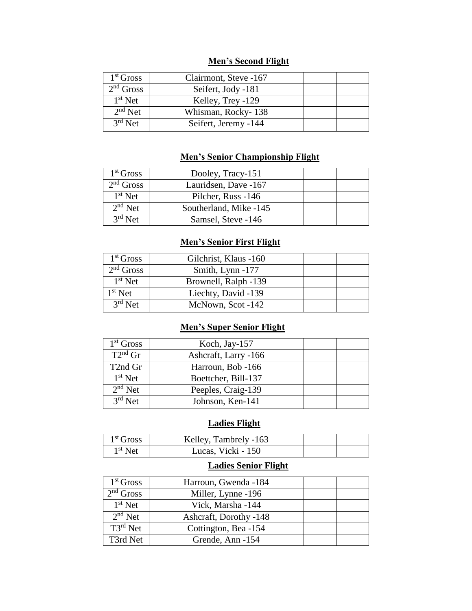#### **Men's Second Flight**

| 1 <sup>st</sup> Gross | Clairmont, Steve -167 |  |
|-----------------------|-----------------------|--|
| $2nd$ Gross           | Seifert, Jody -181    |  |
| $1st$ Net             | Kelley, Trey -129     |  |
| $2nd$ Net             | Whisman, Rocky-138    |  |
| $3rd$ Net             | Seifert, Jeremy -144  |  |
|                       |                       |  |

#### **Men's Senior Championship Flight**

| 1 <sup>st</sup> Gross | Dooley, Tracy-151      |  |
|-----------------------|------------------------|--|
| $2nd$ Gross           | Lauridsen, Dave -167   |  |
| $1st$ Net             | Pilcher, Russ -146     |  |
| $2nd$ Net             | Southerland, Mike -145 |  |
| $3rd$ Net             | Samsel, Steve -146     |  |

#### **Men's Senior First Flight**

| 1 <sup>st</sup> Gross | Gilchrist, Klaus -160 |  |
|-----------------------|-----------------------|--|
| $2nd$ Gross           | Smith, Lynn -177      |  |
| $1st$ Net             | Brownell, Ralph -139  |  |
| $1st$ Net             | Liechty, David -139   |  |
| $3rd$ Net             | McNown, Scot -142     |  |

#### **Men's Super Senior Flight**

| $1st$ Gross          | Koch, Jay-157        |  |
|----------------------|----------------------|--|
| $T2^{nd}$ Gr         | Ashcraft, Larry -166 |  |
| T <sub>2</sub> nd Gr | Harroun, Bob -166    |  |
| $1st$ Net            | Boettcher, Bill-137  |  |
| $2nd$ Net            | Peeples, Craig-139   |  |
| $3rd$ Net            | Johnson, Ken-141     |  |
|                      |                      |  |

#### **Ladies Flight**

| $1st$ Gross | Kelley, Tambrely -163 |  |
|-------------|-----------------------|--|
| $1st$ Net   | Lucas, Vicki - 150    |  |

#### **Ladies Senior Flight**

| 1 <sup>st</sup> Gross | Harroun, Gwenda -184   |  |
|-----------------------|------------------------|--|
| $2nd$ Gross           | Miller, Lynne -196     |  |
| $1st$ Net             | Vick, Marsha -144      |  |
| $2nd$ Net             | Ashcraft, Dorothy -148 |  |
| $T3^{rd}$ Net         | Cottington, Bea -154   |  |
| T3rd Net              | Grende, Ann -154       |  |